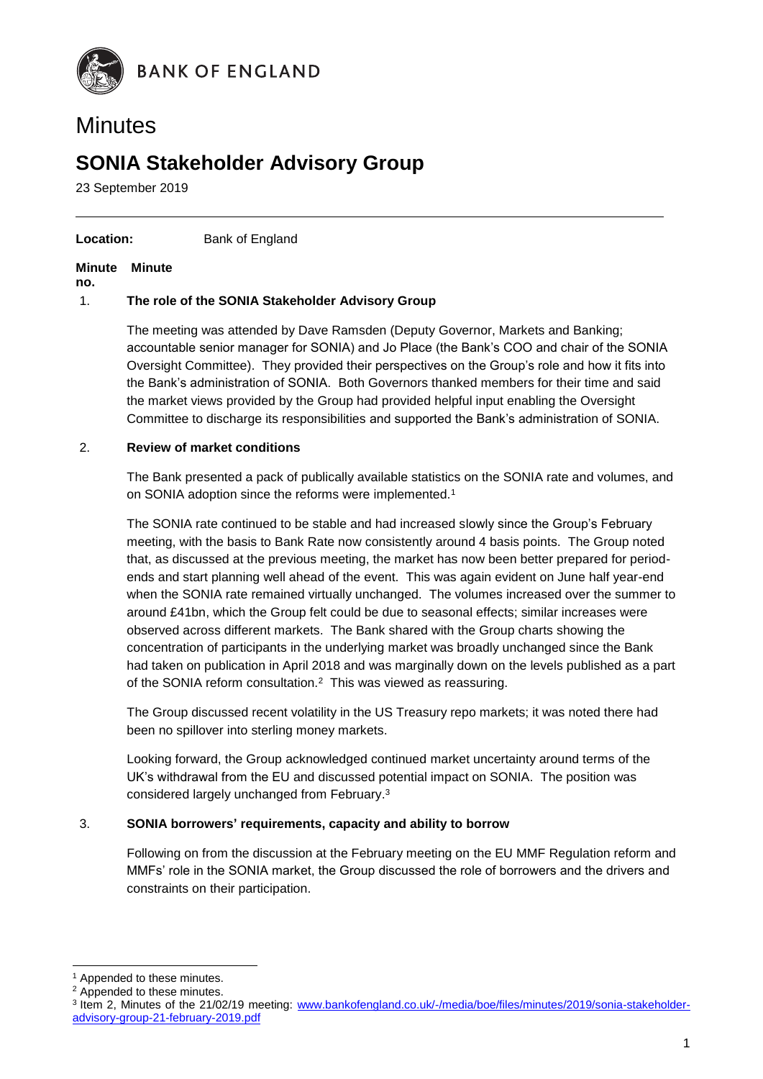

# **Minutes**

## **SONIA Stakeholder Advisory Group**

23 September 2019

#### **Location:** Bank of England

#### **Minute Minute**

**no.**

#### 1. **The role of the SONIA Stakeholder Advisory Group**

The meeting was attended by Dave Ramsden (Deputy Governor, Markets and Banking; accountable senior manager for SONIA) and Jo Place (the Bank's COO and chair of the SONIA Oversight Committee). They provided their perspectives on the Group's role and how it fits into the Bank's administration of SONIA. Both Governors thanked members for their time and said the market views provided by the Group had provided helpful input enabling the Oversight Committee to discharge its responsibilities and supported the Bank's administration of SONIA.

#### 2. **Review of market conditions**

The Bank presented a pack of publically available statistics on the SONIA rate and volumes, and on SONIA adoption since the reforms were implemented.<sup>1</sup>

The SONIA rate continued to be stable and had increased slowly since the Group's February meeting, with the basis to Bank Rate now consistently around 4 basis points. The Group noted that, as discussed at the previous meeting, the market has now been better prepared for periodends and start planning well ahead of the event. This was again evident on June half year-end when the SONIA rate remained virtually unchanged. The volumes increased over the summer to around £41bn, which the Group felt could be due to seasonal effects; similar increases were observed across different markets. The Bank shared with the Group charts showing the concentration of participants in the underlying market was broadly unchanged since the Bank had taken on publication in April 2018 and was marginally down on the levels published as a part of the SONIA reform consultation.<sup>2</sup> This was viewed as reassuring.

The Group discussed recent volatility in the US Treasury repo markets; it was noted there had been no spillover into sterling money markets.

Looking forward, the Group acknowledged continued market uncertainty around terms of the UK's withdrawal from the EU and discussed potential impact on SONIA. The position was considered largely unchanged from February. 3

#### 3. **SONIA borrowers' requirements, capacity and ability to borrow**

Following on from the discussion at the February meeting on the EU MMF Regulation reform and MMFs' role in the SONIA market, the Group discussed the role of borrowers and the drivers and constraints on their participation.

1

<sup>&</sup>lt;sup>1</sup> Appended to these minutes.

<sup>2</sup> Appended to these minutes.

<sup>&</sup>lt;sup>3</sup> Item 2, Minutes of the 21/02/19 meeting: [www.bankofengland.co.uk/-/media/boe/files/minutes/2019/sonia-stakeholder](http://www.bankofengland.co.uk/-/media/boe/files/minutes/2019/sonia-stakeholder-advisory-group-21-february-2019.pdf)[advisory-group-21-february-2019.pdf](http://www.bankofengland.co.uk/-/media/boe/files/minutes/2019/sonia-stakeholder-advisory-group-21-february-2019.pdf)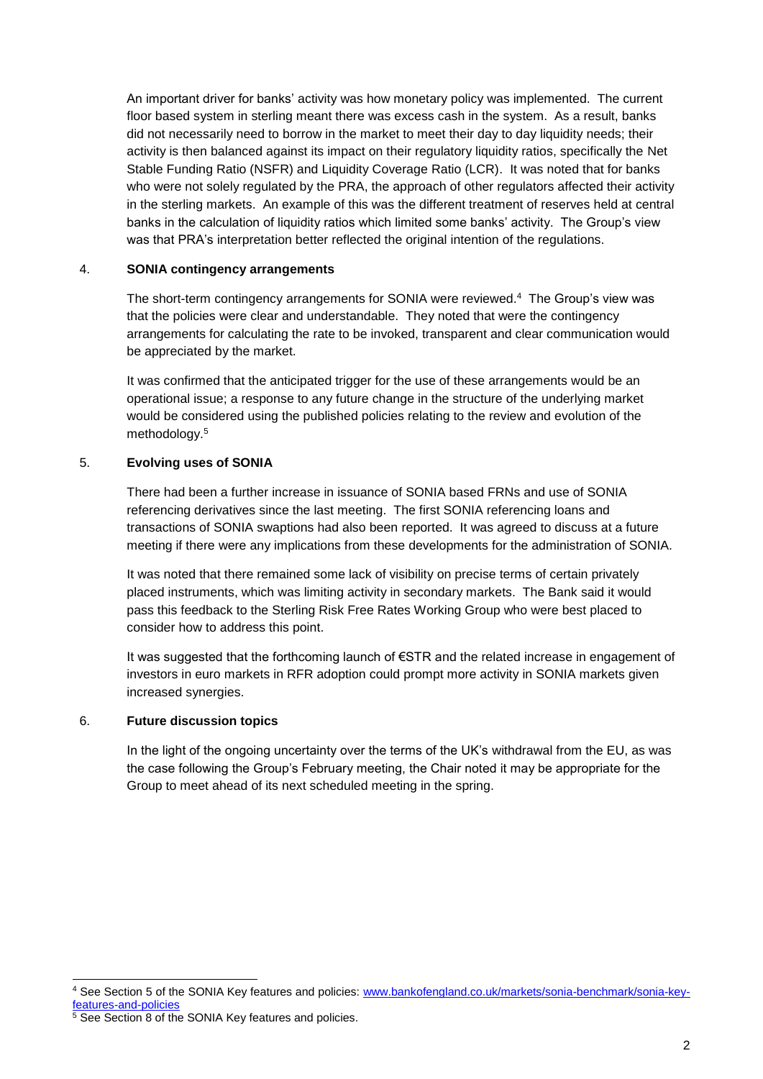An important driver for banks' activity was how monetary policy was implemented. The current floor based system in sterling meant there was excess cash in the system. As a result, banks did not necessarily need to borrow in the market to meet their day to day liquidity needs; their activity is then balanced against its impact on their regulatory liquidity ratios, specifically the Net Stable Funding Ratio (NSFR) and Liquidity Coverage Ratio (LCR). It was noted that for banks who were not solely regulated by the PRA, the approach of other regulators affected their activity in the sterling markets. An example of this was the different treatment of reserves held at central banks in the calculation of liquidity ratios which limited some banks' activity. The Group's view was that PRA's interpretation better reflected the original intention of the regulations.

#### 4. **SONIA contingency arrangements**

The short-term contingency arrangements for SONIA were reviewed.<sup>4</sup> The Group's view was that the policies were clear and understandable. They noted that were the contingency arrangements for calculating the rate to be invoked, transparent and clear communication would be appreciated by the market.

It was confirmed that the anticipated trigger for the use of these arrangements would be an operational issue; a response to any future change in the structure of the underlying market would be considered using the published policies relating to the review and evolution of the methodology.<sup>5</sup>

#### 5. **Evolving uses of SONIA**

There had been a further increase in issuance of SONIA based FRNs and use of SONIA referencing derivatives since the last meeting. The first SONIA referencing loans and transactions of SONIA swaptions had also been reported. It was agreed to discuss at a future meeting if there were any implications from these developments for the administration of SONIA.

It was noted that there remained some lack of visibility on precise terms of certain privately placed instruments, which was limiting activity in secondary markets. The Bank said it would pass this feedback to the Sterling Risk Free Rates Working Group who were best placed to consider how to address this point.

It was suggested that the forthcoming launch of €STR and the related increase in engagement of investors in euro markets in RFR adoption could prompt more activity in SONIA markets given increased synergies.

#### 6. **Future discussion topics**

In the light of the ongoing uncertainty over the terms of the UK's withdrawal from the EU, as was the case following the Group's February meeting, the Chair noted it may be appropriate for the Group to meet ahead of its next scheduled meeting in the spring.

<sup>1</sup> <sup>4</sup> See Section 5 of the SONIA Key features and policies: [www.bankofengland.co.uk/markets/sonia-benchmark/sonia-key](http://www.bankofengland.co.uk/markets/sonia-benchmark/sonia-key-features-and-policies)[features-and-policies](http://www.bankofengland.co.uk/markets/sonia-benchmark/sonia-key-features-and-policies)

<sup>5</sup> See Section 8 of the SONIA Key features and policies.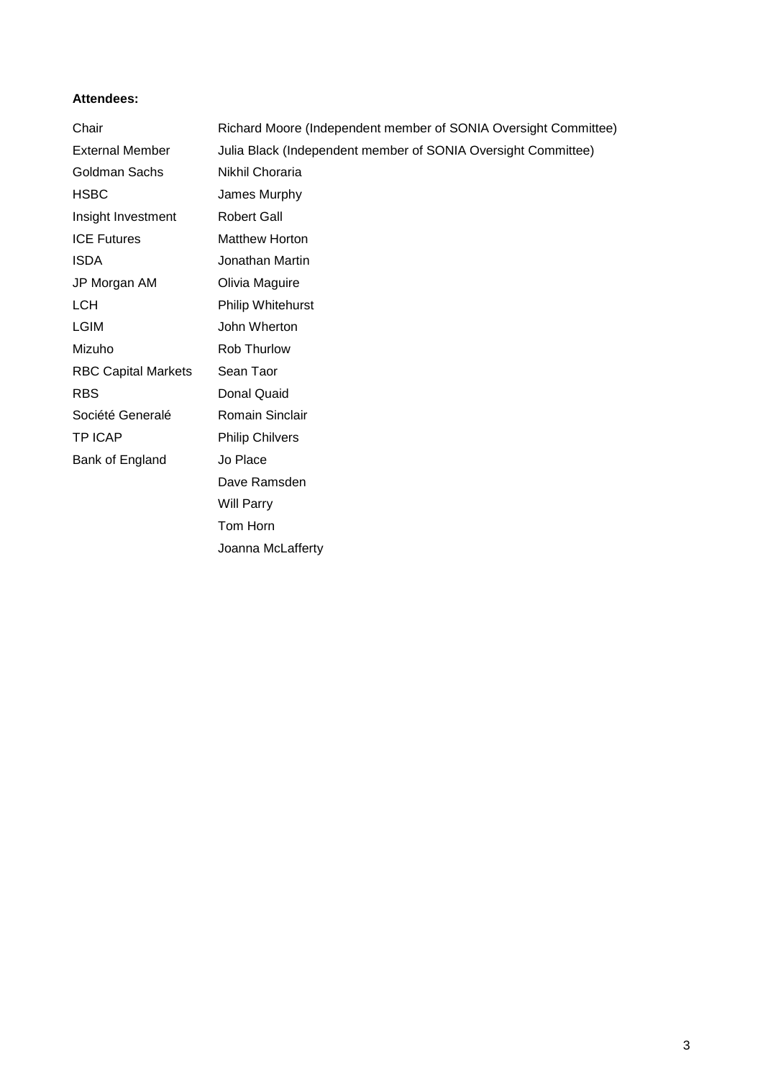#### **Attendees:**

| Chair                      | Richard Moore (Independent member of SONIA Oversight Committee) |  |  |  |
|----------------------------|-----------------------------------------------------------------|--|--|--|
| <b>External Member</b>     | Julia Black (Independent member of SONIA Oversight Committee)   |  |  |  |
| Goldman Sachs              | Nikhil Choraria                                                 |  |  |  |
| <b>HSBC</b>                | James Murphy                                                    |  |  |  |
| Insight Investment         | <b>Robert Gall</b>                                              |  |  |  |
| <b>ICE Futures</b>         | <b>Matthew Horton</b>                                           |  |  |  |
| <b>ISDA</b>                | Jonathan Martin                                                 |  |  |  |
| JP Morgan AM               | Olivia Maguire                                                  |  |  |  |
| <b>LCH</b>                 | Philip Whitehurst                                               |  |  |  |
| <b>LGIM</b>                | John Wherton                                                    |  |  |  |
| Mizuho                     | Rob Thurlow                                                     |  |  |  |
| <b>RBC Capital Markets</b> | Sean Taor                                                       |  |  |  |
| <b>RBS</b>                 | Donal Quaid                                                     |  |  |  |
| Société Generalé           | Romain Sinclair                                                 |  |  |  |
| <b>TP ICAP</b>             | <b>Philip Chilvers</b>                                          |  |  |  |
| Bank of England            | Jo Place                                                        |  |  |  |
|                            | Dave Ramsden                                                    |  |  |  |
|                            | <b>Will Parry</b>                                               |  |  |  |
|                            | Tom Horn                                                        |  |  |  |
|                            | Joanna McLafferty                                               |  |  |  |

3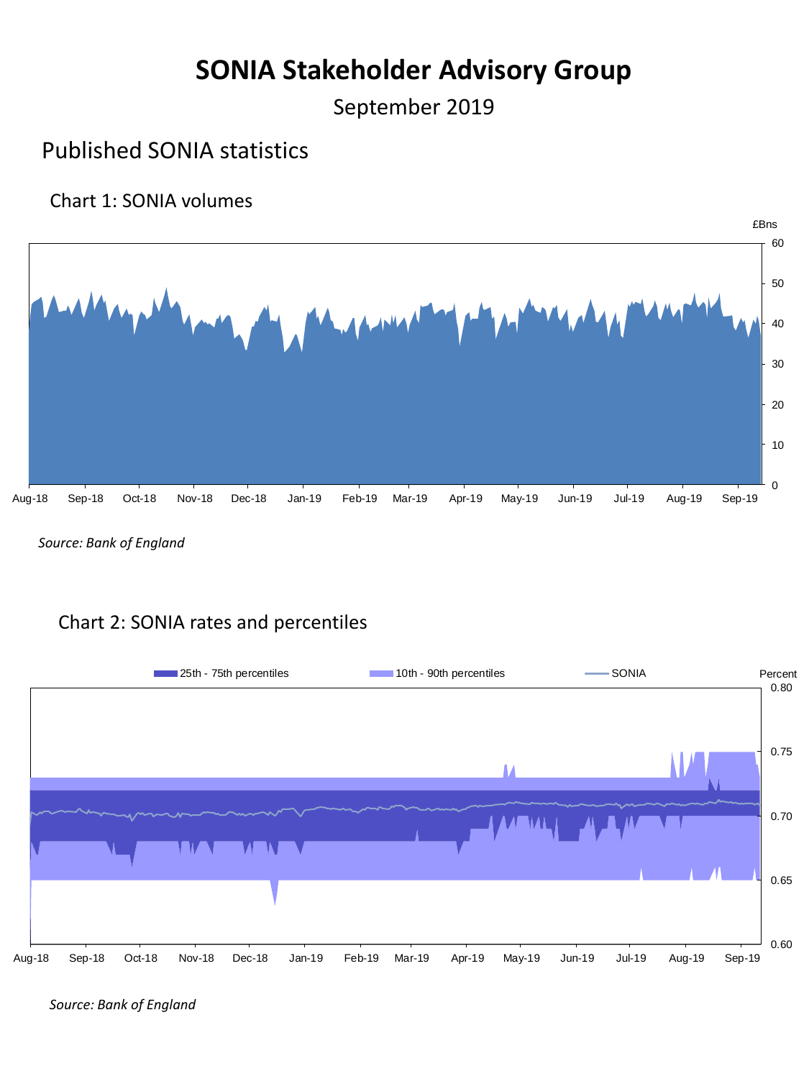# **SONIA Stakeholder Advisory Group**

September 2019

## Published SONIA statistics

### Chart 1: SONIA volumes



*Source: Bank of England*

### Chart 2: SONIA rates and percentiles



*Source: Bank of England*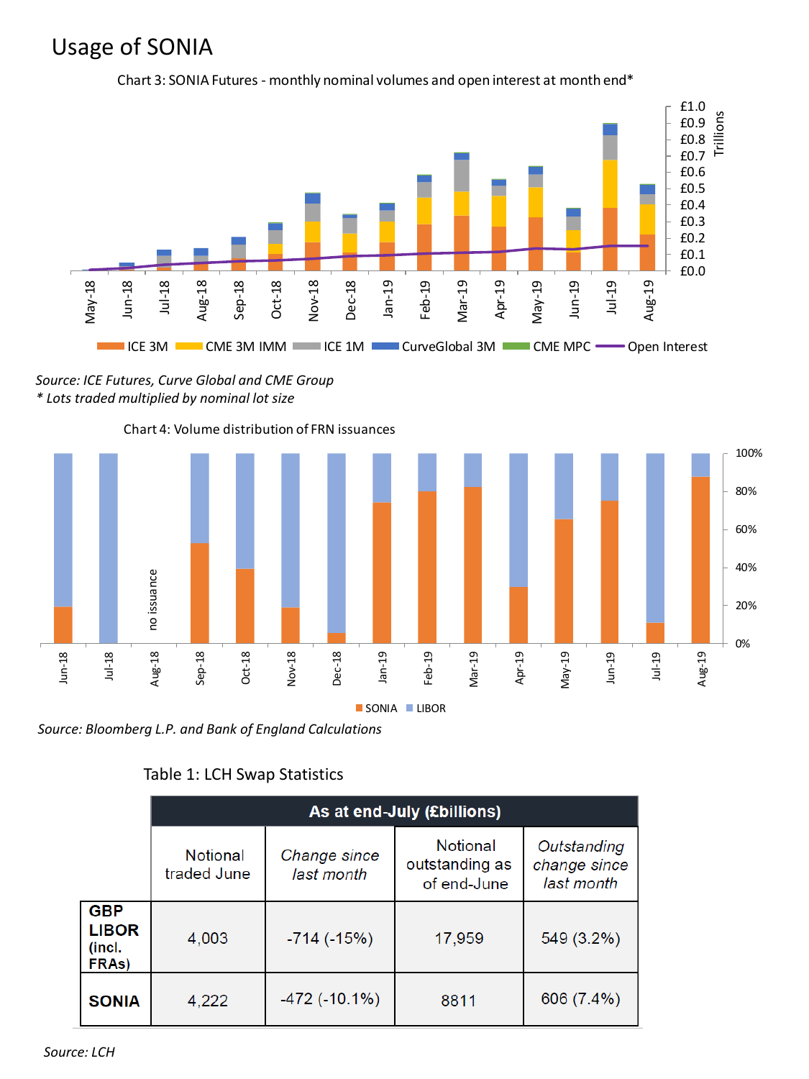## Usage of SONIA



Chart 3: SONIA Futures - monthly nominal volumes and open interest at month end\*

*Source: ICE Futures, Curve Global and CME Group \* Lots traded multiplied by nominal lot size*





### Table 1: LCH Swap Statistics

|                                               | As at end-July (£billions) |                            |                                           |                                           |  |
|-----------------------------------------------|----------------------------|----------------------------|-------------------------------------------|-------------------------------------------|--|
|                                               | Notional<br>traded June    | Change since<br>last month | Notional<br>outstanding as<br>of end-June | Outstanding<br>change since<br>last month |  |
| <b>GBP</b><br><b>LIBOR</b><br>(incl.<br>FRAs) | 4,003                      | $-714$ ( $-15\%$ )         | 17,959                                    | 549 (3.2%)                                |  |
| <b>SONIA</b>                                  | 4,222                      | $-472$ ( $-10.1\%$ )       | 8811                                      | 606 (7.4%)                                |  |